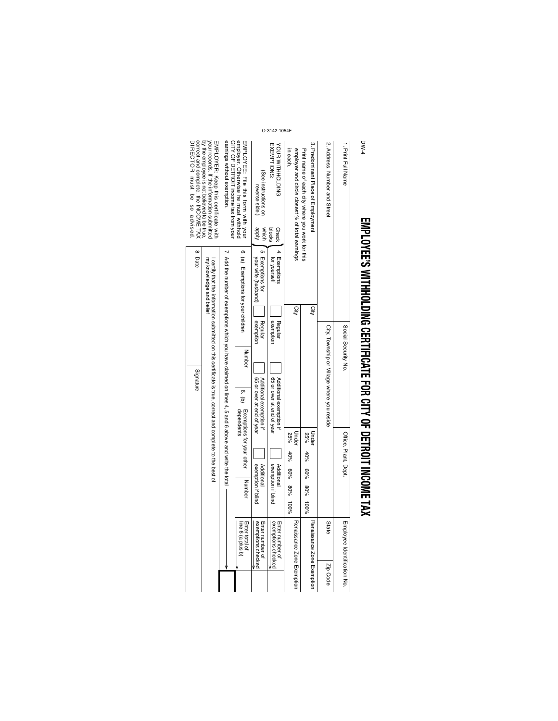## **EMPLOYEE'S WITHHOLDING CERTIFICATE FOR CITY OF DETROIT INCOME EMPLIOSME TAX** WITHINGLED NOF DETERDED NOF DETERDED TO DETERDIT NOONE TAX

| employer. Otherwise he must withhold<br>mMPLOYEE: File this form with your<br>CITY OF DETROIT income tax from your<br>3. Predominant Place of Employmen<br>2. Address, Number and Street<br>1. Print Full Name<br>EXEMPTIONS:<br>YOUR WITHNOLDING<br>employer and circle closest % of total earnings<br>Print name of each city where you work for this<br>n each<br>(See instructions on<br>reverse side.)<br>kidde<br>blocks<br><b>Check</b><br>which | 4. Exemptions<br>ŗл<br>ō.<br>Exemptions for<br>(a) Exemptions for your children<br>for yourself<br>your wife (husband) | City<br>City<br>exemption<br>Regular<br>exemption<br>Regular<br>Social Security No. | Number                                                                                                                                         | 6. (b) | City, Township or Village where you reside<br>65 or over at end of year<br>Additional exemption if<br>65 or over at end of year<br>Exemptions for your other<br>dependents<br>Under<br>Under<br>Office, Plant, Dept.<br>25%<br>25%<br>$40\%$<br>$40\%$<br>exemption if blind<br>exemption if blind<br>Additional<br>Additional<br>60% 80%<br>80%<br>Number<br>80%<br>$-00\%$<br>$^{96001}$ |
|---------------------------------------------------------------------------------------------------------------------------------------------------------------------------------------------------------------------------------------------------------------------------------------------------------------------------------------------------------------------------------------------------------------------------------------------------------|------------------------------------------------------------------------------------------------------------------------|-------------------------------------------------------------------------------------|------------------------------------------------------------------------------------------------------------------------------------------------|--------|--------------------------------------------------------------------------------------------------------------------------------------------------------------------------------------------------------------------------------------------------------------------------------------------------------------------------------------------------------------------------------------------|
|                                                                                                                                                                                                                                                                                                                                                                                                                                                         |                                                                                                                        |                                                                                     |                                                                                                                                                |        |                                                                                                                                                                                                                                                                                                                                                                                            |
|                                                                                                                                                                                                                                                                                                                                                                                                                                                         |                                                                                                                        |                                                                                     | Additional exemption if                                                                                                                        |        |                                                                                                                                                                                                                                                                                                                                                                                            |
|                                                                                                                                                                                                                                                                                                                                                                                                                                                         |                                                                                                                        |                                                                                     |                                                                                                                                                |        |                                                                                                                                                                                                                                                                                                                                                                                            |
|                                                                                                                                                                                                                                                                                                                                                                                                                                                         |                                                                                                                        |                                                                                     |                                                                                                                                                |        |                                                                                                                                                                                                                                                                                                                                                                                            |
|                                                                                                                                                                                                                                                                                                                                                                                                                                                         |                                                                                                                        |                                                                                     | $\sim$ Add the number of exemptions of these of these claimed on lines of the sequence and $\sim$ Add the total vite the total views of $\sim$ |        |                                                                                                                                                                                                                                                                                                                                                                                            |
| Norr records. If the intermation submitted                                                                                                                                                                                                                                                                                                                                                                                                              | my knowledge and belief                                                                                                |                                                                                     | certify that the information submitted on this certificate is true, correct and complete to the best of                                        |        |                                                                                                                                                                                                                                                                                                                                                                                            |
| DIRECTOR must be so advised.<br>correct and complete, the INCOME TAX<br>by the employee is not believed to be true.                                                                                                                                                                                                                                                                                                                                     | 8. Date                                                                                                                |                                                                                     | Signature                                                                                                                                      |        |                                                                                                                                                                                                                                                                                                                                                                                            |

DW-4

O-3142-1054F